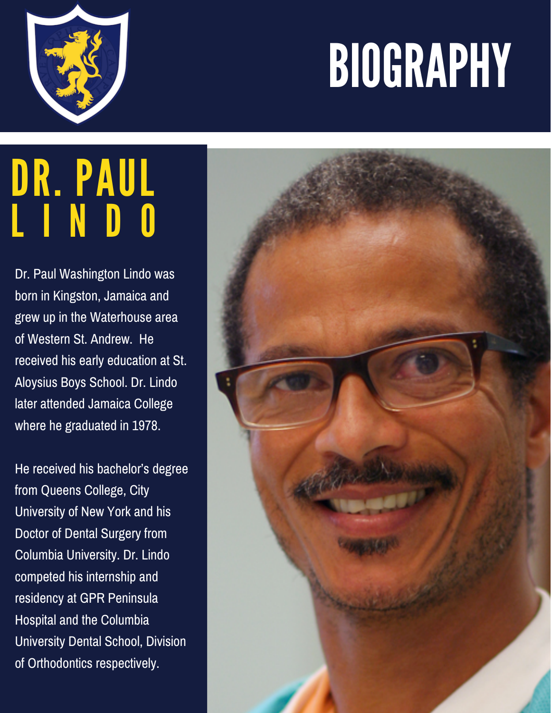## BIOGRAPHY



## DR. PAUL L I N D O

Dr. Paul Washington Lindo was born in Kingston, Jamaica and grew up in the Waterhouse area of Western St. Andrew. He received his early education at St. Aloysius Boys School. Dr. Lindo later attended Jamaica College where he graduated in 1978.

He received his bachelor's degree from Queens College, City University of New York and his Doctor of Dental Surgery from Columbia University. Dr. Lindo competed his internship and residency at GPR Peninsula Hospital and the Columbia University Dental School, Division of Orthodontics respectively.